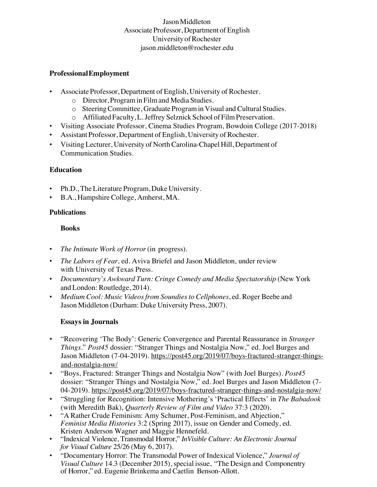## JasonMiddleton Associate Professor, Department of English UniversityofRochester jason.middleton@rochester.edu

#### **ProfessionalEmployment**

- Associate Professor, Department of English, University of Rochester.
	- o Director, Programin Filmand Media Studies.
	- o SteeringCommittee, GraduateProgramin Visual and Cultural Studies.
	- o Affiliated Faculty,L.Jeffrey Selznick School of FilmPreservation.
- Visiting Associate Professor, Cinema Studies Program, Bowdoin College (2017-2018)
- Assistant Professor, Department of English, University of Rochester.
- Visiting Lecturer, University of NorthCarolina-Chapel Hill, Department of Communication Studies.

## **Education**

- Ph.D.,The Literature Program, Duke University.
- B.A., Hampshire College, Amherst, MA.

#### **Publications**

## **Books**

- *The Intimate Work of Horror*(in progress).
- *The Labors of Fear,* ed. Aviva Briefel and Jason Middleton, under review with University of Texas Press.
- *Documentary's Awkward Turn: Cringe Comedy and Media Spectatorship* (New York and London: Routledge, 2014).
- *Medium Cool: Music Videosfrom Soundiesto Cellphones*, ed. Roger Beebe and Jason Middleton (Durham: Duke University Press, 2007).

## **Essays in Journals**

- "Recovering 'The Body': Generic Convergence and Parental Reassurance in *Stranger Things*." *Post45* dossier: "Stranger Things and Nostalgia Now," ed. Joel Burges and Jason Middleton (7-04-2019). https://post45.org/2019/07/boys-fractured-stranger-thingsand-nostalgia-now/
- "Boys, Fractured: Stranger Things and Nostalgia Now" (with Joel Burges). *Post45*  dossier: "Stranger Things and Nostalgia Now," ed. Joel Burges and Jason Middleton (7- 04-2019). https://post45.org/2019/07/boys-fractured-stranger-things-and-nostalgia-now/
- "Struggling for Recognition: Intensive Mothering's 'Practical Effects' in *The Babadook* (with Meredith Bak), *Quarterly Review of Film and Video* 37:3 (2020).
- "A Rather Crude Feminism: Amy Schumer, Post-Feminism, and Abjection," *Feminist Media Histories* 3:2 (Spring 2017), issue on Gender and Comedy, ed. Kristen Anderson Wagner and Maggie Hennefeld.
- "Indexical Violence, Transmodal Horror," *InVisible Culture: An Electronic Journal for Visual Culture* 25/26 (May 6, 2017).
- "Documentary Horror: The Transmodal Power of Indexical Violence," *Journal of Visual Culture* 14.3 (December 2015), special issue, "The Design and Componentry of Horror," ed. Eugenie Brinkema and Caetlin Benson-Allott.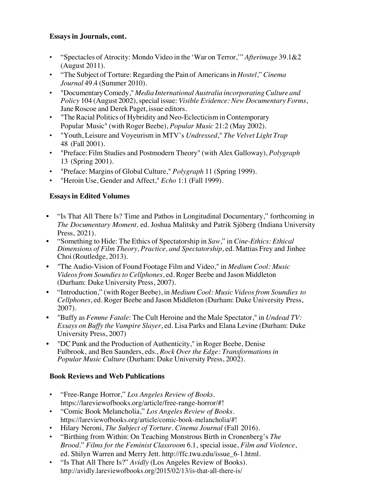#### **Essays in Journals, cont.**

- "Spectacles of Atrocity: Mondo Video in the 'War on Terror,'" *Afterimage* 39.1&2 (August 2011).
- "The Subject of Torture: Regarding the Pain of Americansin *Hostel*," *Cinema Journal* 49.4 (Summer 2010).
- "DocumentaryComedy," *Media InternationalAustralia incorporatingCulture and Policy* 104 (August 2002), special issue: *Visible Evidence: New Documentary Forms*, Jane Roscoe and Derek Paget, issue editors.
- "The Racial Politics of Hybridity and Neo-Eclecticism in Contemporary Popular Music" (with Roger Beebe), *Popular Music* 21:2 (May 2002).
- "Youth, Leisure and Voyeurism in MTV's *Undressed*," *The Velvet Light Trap* 48 (Fall 2001).
- "Preface: Film Studies and Postmodern Theory" (with Alex Galloway), *Polygraph* 13 (Spring 2001).
- "Preface: Margins of Global Culture," *Polygraph* 11 (Spring 1999).
- "Heroin Use, Gender and Affect," *Echo* 1:1 (Fall 1999).

## **Essaysin Edited Volumes**

- "Is That All There Is? Time and Pathos in Longitudinal Documentary," forthcoming in *The Documentary Moment,* ed. Joshua Malitsky and Patrik Sjöberg (Indiana University Press, 2021).
- "Something to Hide: The Ethics of Spectatorship in *Saw*," in *Cine-Ethics: Ethical Dimensions of Film Theory, Practice, and Spectatorship*, ed. Mattias Frey and Jinhee Choi(Routledge, 2013).
- "The Audio-Vision of Found Footage Film and Video," in *Medium Cool: Music Videosfrom Soundiesto Cellphones*, ed. Roger Beebe and Jason Middleton (Durham: Duke University Press, 2007).
- "Introduction," (with Roger Beebe), in *Medium Cool: Music Videosfrom Soundies to Cellphones*, ed. Roger Beebe and Jason Middleton (Durham: Duke University Press, 2007).
- "Buffy as *Femme Fatale*: The Cult Heroine and the Male Spectator," in *Undead TV: Essays on Buffy the Vampire Slayer*, ed. Lisa Parks and Elana Levine (Durham: Duke University Press, 2007)
- "DC Punk and the Production of Authenticity," in Roger Beebe, Denise Fulbrook, and Ben Saunders, eds., *Rock Over the Edge: Transformationsin Popular Music Culture* (Durham: Duke University Press, 2002).

## **Book Reviews and Web Publications**

- "Free-Range Horror," *Los Angeles Review of Books*. https://lareviewofbooks.org/article/free-range-horror/#!
- "Comic Book Melancholia," *Los Angeles Review of Books*. https://lareviewofbooks.org/article/comic-book-melancholia/#!
- Hilary Neroni, *The Subject of Torture*. *Cinema Journal* (Fall 2016).
- "Birthing from Within: On Teaching Monstrous Birth in Cronenberg's *The Brood.*" *Films for the Feminist Classroom* 6.1, special issue, *Film and Violence*, ed. Shilyn Warren and Merry Jett. http://ffc.twu.edu/issue\_6-1.html.
- "Is That All There Is?" *Avidly* (Los Angeles Review of Books). http://avidly.lareviewofbooks.org/2015/02/13/is-that-all-there-is/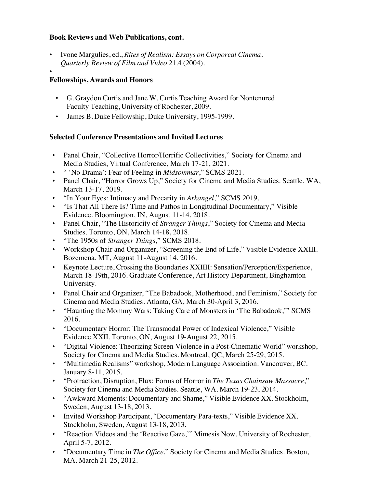#### **Book Reviews and Web Publications, cont.**

- Ivone Margulies, ed., *Rites of Realism: Essays on Corporeal Cinema*. *Quarterly Review of Film and Video* 21.4 (2004).
- •

## **Fellowships, Awards and Honors**

- G. Graydon Curtis and Jane W. Curtis Teaching Award for Nontenured Faculty Teaching, University of Rochester, 2009.
- James B. Duke Fellowship, Duke University, 1995-1999.

## **Selected Conference Presentations and Invited Lectures**

- Panel Chair, "Collective Horror/Horrific Collectivities," Society for Cinema and Media Studies, Virtual Conference, March 17-21, 2021.
- " 'No Drama': Fear of Feeling in *Midsommar*," SCMS 2021.
- Panel Chair, "Horror Grows Up," Society for Cinema and Media Studies. Seattle, WA, March 13-17, 2019.
- "In Your Eyes: Intimacy and Precarity in *Arkangel*," SCMS 2019.
- "Is That All There Is? Time and Pathos in Longitudinal Documentary," Visible Evidence. Bloomington, IN, August 11-14, 2018.
- Panel Chair, "The Historicity of *Stranger Things*," Society for Cinema and Media Studies. Toronto, ON, March 14-18, 2018.
- "The 1950s of *Stranger Things*," SCMS 2018.
- Workshop Chair and Organizer, "Screening the End of Life," Visible Evidence XXIII. Bozemena, MT, August 11-August 14, 2016.
- Keynote Lecture, Crossing the Boundaries XXIIII: Sensation/Perception/Experience, March 18-19th, 2016. Graduate Conference, Art History Department, Binghamton University.
- Panel Chair and Organizer, "The Babadook, Motherhood, and Feminism," Society for Cinema and Media Studies. Atlanta, GA, March 30-April 3, 2016.
- "Haunting the Mommy Wars: Taking Care of Monsters in 'The Babadook,'" SCMS 2016.
- "Documentary Horror: The Transmodal Power of Indexical Violence," Visible Evidence XXII. Toronto, ON, August 19-August 22, 2015.
- "Digital Violence: Theorizing Screen Violence in a Post-Cinematic World" workshop, Society for Cinema and Media Studies. Montreal, QC, March 25-29, 2015.
- "Multimedia Realisms" workshop, Modern Language Association. Vancouver, BC. January 8-11, 2015.
- "Protraction, Disruption, Flux: Forms of Horror in *The Texas Chainsaw Massacre*," Society for Cinema and Media Studies. Seattle, WA. March 19-23, 2014.
- "Awkward Moments: Documentary and Shame," Visible Evidence XX. Stockholm, Sweden, August 13-18, 2013.
- Invited Workshop Participant, "Documentary Para-texts," Visible Evidence XX. Stockholm, Sweden, August 13-18, 2013.
- "Reaction Videos and the 'Reactive Gaze,'" Mimesis Now. University of Rochester, April 5-7, 2012.
- "Documentary Time in *The Office*," Society for Cinema and Media Studies. Boston, MA. March 21-25, 2012.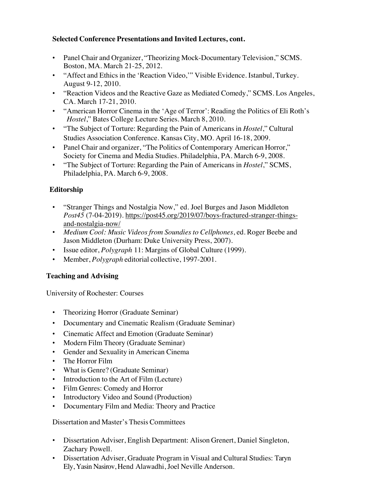#### **Selected Conference Presentations and Invited Lectures, cont.**

- Panel Chair and Organizer, "Theorizing Mock-Documentary Television," SCMS. Boston, MA. March 21-25, 2012.
- "Affect and Ethics in the 'Reaction Video,'" Visible Evidence. Istanbul, Turkey. August 9-12, 2010.
- "Reaction Videos and the Reactive Gaze as Mediated Comedy," SCMS. Los Angeles, CA. March 17-21, 2010.
- "American Horror Cinema in the 'Age of Terror': Reading the Politics of Eli Roth's *Hostel*," Bates College Lecture Series. March 8, 2010.
- "The Subject of Torture: Regarding the Pain of Americans in *Hostel*," Cultural Studies Association Conference. Kansas City, MO. April 16-18, 2009.
- Panel Chair and organizer, "The Politics of Contemporary American Horror," Society for Cinema and Media Studies. Philadelphia, PA. March 6-9, 2008.
- "The Subject of Torture: Regarding the Pain of Americans in *Hostel*," SCMS, Philadelphia, PA. March 6-9, 2008.

## **Editorship**

- "Stranger Things and Nostalgia Now," ed. Joel Burges and Jason Middleton *Post45* (7-04-2019). https://post45.org/2019/07/boys-fractured-stranger-thingsand-nostalgia-now/
- *Medium Cool: Music Videos from Soundies to Cellphones*, ed. Roger Beebe and Jason Middleton (Durham: Duke University Press, 2007).
- Issue editor, *Polygraph* 11: Margins of Global Culture (1999).
- Member, *Polygraph* editorial collective, 1997-2001.

## **Teaching and Advising**

University of Rochester: Courses

- Theorizing Horror (Graduate Seminar)
- Documentary and Cinematic Realism (Graduate Seminar)
- Cinematic Affect and Emotion (Graduate Seminar)
- Modern Film Theory (Graduate Seminar)
- Gender and Sexuality in American Cinema
- The Horror Film
- What is Genre? (Graduate Seminar)
- Introduction to the Art of Film (Lecture)
- Film Genres: Comedy and Horror
- Introductory Video and Sound (Production)
- Documentary Film and Media: Theory and Practice

Dissertation and Master's Thesis Committees

- Dissertation Adviser, English Department: Alison Grenert, Daniel Singleton, Zachary Powell.
- Dissertation Adviser, Graduate Program in Visual and Cultural Studies: Taryn Ely, Yasin Nasirov, Hend Alawadhi, Joel Neville Anderson.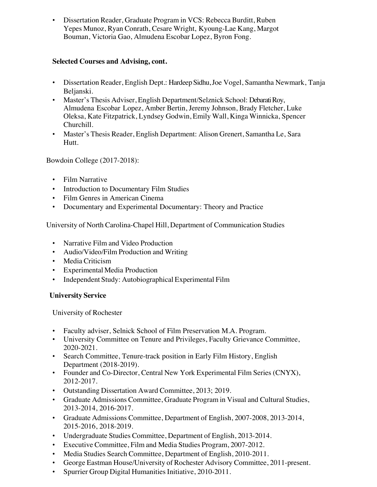• Dissertation Reader, Graduate Program in VCS: Rebecca Burditt, Ruben Yepes Munoz, Ryan Conrath, Cesare Wright, Kyoung-Lae Kang, Margot Bouman, Victoria Gao, Almudena Escobar Lopez, Byron Fong.

## **Selected Courses and Advising, cont.**

- Dissertation Reader, English Dept.: Hardeep Sidhu, Joe Vogel, Samantha Newmark, Tanja Beljanski.
- Master's Thesis Adviser, English Department/Selznick School: Debarati Roy, Almudena Escobar Lopez, Amber Bertin, Jeremy Johnson, Brady Fletcher, Luke Oleksa, Kate Fitzpatrick, Lyndsey Godwin, Emily Wall, Kinga Winnicka, Spencer Churchill.
- Master's Thesis Reader, English Department: Alison Grenert, Samantha Le, Sara Hutt.

Bowdoin College (2017-2018):

- Film Narrative
- Introduction to Documentary Film Studies
- Film Genres in American Cinema
- Documentary and Experimental Documentary: Theory and Practice

University of North Carolina-Chapel Hill, Department of Communication Studies

- Narrative Film and Video Production
- Audio/Video/Film Production and Writing
- Media Criticism
- Experimental Media Production
- Independent Study: Autobiographical Experimental Film

## **University Service**

University of Rochester

- Faculty adviser, Selnick School of Film Preservation M.A. Program.
- University Committee on Tenure and Privileges, Faculty Grievance Committee, 2020-2021.
- Search Committee, Tenure-track position in Early Film History, English Department (2018-2019).
- Founder and Co-Director, Central New York Experimental Film Series (CNYX), 2012-2017.
- Outstanding Dissertation Award Committee, 2013; 2019.
- Graduate Admissions Committee, Graduate Program in Visual and Cultural Studies, 2013-2014, 2016-2017.
- Graduate Admissions Committee, Department of English, 2007-2008, 2013-2014, 2015-2016, 2018-2019.
- Undergraduate Studies Committee, Department of English, 2013-2014.
- Executive Committee, Film and Media Studies Program, 2007-2012.
- Media Studies Search Committee, Department of English, 2010-2011.
- George Eastman House/University of Rochester Advisory Committee, 2011-present.
- Spurrier Group Digital Humanities Initiative, 2010-2011.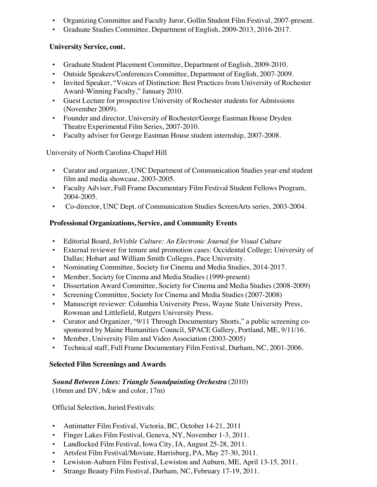- Organizing Committee and Faculty Juror, Gollin Student Film Festival, 2007-present.
- Graduate Studies Committee, Department of English, 2009-2013, 2016-2017.

## **University Service, cont.**

- Graduate Student Placement Committee, Department of English, 2009-2010.
- Outside Speakers/Conferences Committee, Department of English, 2007-2009.
- Invited Speaker, "Voices of Distinction: Best Practices from University of Rochester Award-Winning Faculty," January 2010.
- Guest Lecture for prospective University of Rochester students for Admissions (November 2009).
- Founder and director, University of Rochester/George Eastman House Dryden Theatre Experimental Film Series, 2007-2010.
- Faculty adviser for George Eastman House student internship, 2007-2008.

University of North Carolina-Chapel Hill

- Curator and organizer, UNC Department of Communication Studies year-end student film and media showcase, 2003-2005.
- Faculty Adviser, Full Frame Documentary Film Festival Student Fellows Program, 2004-2005.
- Co-director, UNC Dept. of Communication Studies ScreenArts series, 2003-2004.

## **Professional Organizations, Service, and Community Events**

- Editorial Board, *InVisble Culture: An Electronic Journal for Visual Culture*
- External reviewer for tenure and promotion cases: Occidental College; University of Dallas; Hobart and William Smith Colleges, Pace University.
- Nominating Committee, Society for Cinema and Media Studies, 2014-2017.
- Member, Society for Cinema and Media Studies (1999-present)
- Dissertation Award Committee, Society for Cinema and Media Studies (2008-2009)
- Screening Committee, Society for Cinema and Media Studies (2007-2008)
- Manuscript reviewer: Columbia University Press, Wayne State University Press, Rowman and Littlefield, Rutgers University Press.
- Curator and Organizer, "9/11 Through Documentary Shorts," a public screening cosponsored by Maine Humanities Council, SPACE Gallery, Portland, ME, 9/11/16.
- Member, University Film and Video Association (2003-2005)
- Technical staff, Full Frame Documentary Film Festival, Durham, NC, 2001-2006.

# **Selected Film Screenings and Awards**

# *Sound Between Lines: Triangle Soundpainting Orchestra* (2010)

(16mm and DV, b&w and color, 17m)

Official Selection, Juried Festivals:

- Antimatter Film Festival, Victoria, BC, October 14-21, 2011
- Finger Lakes Film Festival, Geneva, NY, November 1-3, 2011.
- Landlocked Film Festival, Iowa City, IA, August 25-28, 2011.
- Artsfest Film Festival/Moviate, Harrisburg, PA, May 27-30, 2011.
- Lewiston-Auburn Film Festival, Lewiston and Auburn, ME, April 13-15, 2011.
- Strange Beauty Film Festival, Durham, NC, February 17-19, 2011.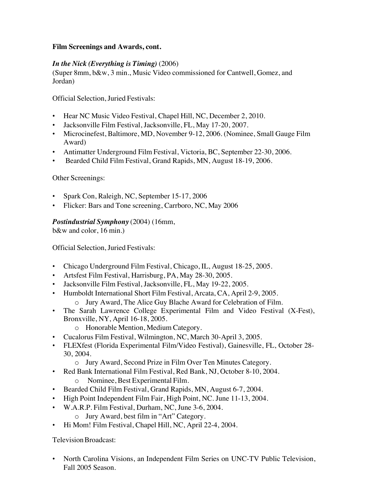#### **Film Screenings and Awards, cont.**

## *In the Nick (Everything is Timing)* (2006)

(Super 8mm, b&w, 3 min., Music Video commissioned for Cantwell, Gomez, and Jordan)

Official Selection, Juried Festivals:

- Hear NC Music Video Festival, Chapel Hill, NC, December 2, 2010.
- Jacksonville Film Festival, Jacksonville, FL, May 17-20, 2007.
- Microcinefest, Baltimore, MD, November 9-12, 2006. (Nominee, Small Gauge Film Award)
- Antimatter Underground Film Festival, Victoria, BC, September 22-30, 2006.
- Bearded Child Film Festival, Grand Rapids, MN, August 18-19, 2006.

#### Other Screenings:

- Spark Con, Raleigh, NC, September 15-17, 2006
- Flicker: Bars and Tone screening, Carrboro, NC, May 2006

## *Postindustrial Symphony* (2004) (16mm,

b&w and color, 16 min.)

Official Selection, Juried Festivals:

- Chicago Underground Film Festival, Chicago, IL, August 18-25, 2005.
- Artsfest Film Festival, Harrisburg, PA, May 28-30, 2005.
- Jacksonville Film Festival, Jacksonville, FL, May 19-22, 2005.
- Humboldt International Short Film Festival, Arcata, CA, April 2-9, 2005.
	- o Jury Award, The Alice Guy Blache Award for Celebration of Film.
- The Sarah Lawrence College Experimental Film and Video Festival (X-Fest), Bronxville, NY, April 16-18, 2005.
	- o Honorable Mention, Medium Category.
- Cucalorus Film Festival, Wilmington, NC, March 30-April 3, 2005.
- FLEXfest (Florida Experimental Film/Video Festival), Gainesville, FL, October 28- 30, 2004.
	- o Jury Award, Second Prize in Film Over Ten Minutes Category.
- Red Bank International Film Festival, Red Bank, NJ, October 8-10, 2004.
	- o Nominee, Best Experimental Film.
- Bearded Child Film Festival, Grand Rapids, MN, August 6-7, 2004.
- High Point Independent Film Fair, High Point, NC. June 11-13, 2004.
- W.A.R.P. Film Festival, Durham, NC, June 3-6, 2004.
	- o Jury Award, best film in "Art" Category.
- Hi Mom! Film Festival, Chapel Hill, NC, April 22-4, 2004.

Television Broadcast:

• North Carolina Visions, an Independent Film Series on UNC-TV Public Television, Fall 2005 Season.